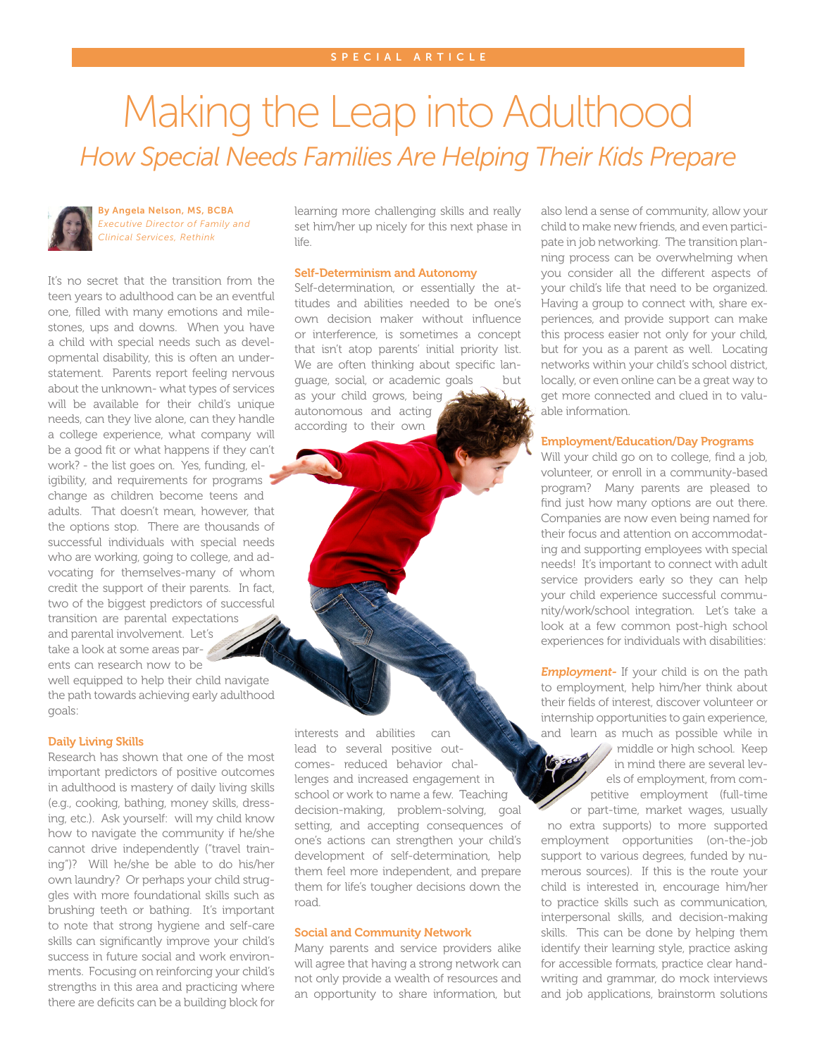# Making the Leap into Adulthood *How Special Needs Families Are Helping Their Kids Prepare*

By Angela Nelson, MS, BCBA *Executive Director of Family and Clinical Services, Rethink*

It's no secret that the transition from the teen years to adulthood can be an eventful one, filled with many emotions and milestones, ups and downs. When you have a child with special needs such as developmental disability, this is often an understatement. Parents report feeling nervous about the unknown- what types of services will be available for their child's unique needs, can they live alone, can they handle a college experience, what company will be a good fit or what happens if they can't work? - the list goes on. Yes, funding, eligibility, and requirements for programs change as children become teens and adults. That doesn't mean, however, that the options stop. There are thousands of successful individuals with special needs who are working, going to college, and advocating for themselves-many of whom credit the support of their parents. In fact, two of the biggest predictors of successful transition are parental expectations and parental involvement. Let's take a look at some areas parents can research now to be

well equipped to help their child navigate the path towards achieving early adulthood goals:

#### Daily Living Skills

Research has shown that one of the most important predictors of positive outcomes in adulthood is mastery of daily living skills (e.g., cooking, bathing, money skills, dressing, etc.). Ask yourself: will my child know how to navigate the community if he/she cannot drive independently ("travel training")? Will he/she be able to do his/her own laundry? Or perhaps your child struggles with more foundational skills such as brushing teeth or bathing. It's important to note that strong hygiene and self-care skills can significantly improve your child's success in future social and work environments. Focusing on reinforcing your child's strengths in this area and practicing where there are deficits can be a building block for learning more challenging skills and really set him/her up nicely for this next phase in life.

## Self-Determinism and Autonomy

Self-determination, or essentially the attitudes and abilities needed to be one's own decision maker without influence or interference, is sometimes a concept that isn't atop parents' initial priority list. We are often thinking about specific language, social, or academic goals but as your child grows, being autonomous and acting according to their own

interests and abilities can lead to several positive outcomes- reduced behavior challenges and increased engagement in school or work to name a few. Teaching decision-making, problem-solving, goal setting, and accepting consequences of one's actions can strengthen your child's development of self-determination, help them feel more independent, and prepare them for life's tougher decisions down the road.

#### Social and Community Network

Many parents and service providers alike will agree that having a strong network can not only provide a wealth of resources and an opportunity to share information, but

also lend a sense of community, allow your child to make new friends, and even participate in job networking. The transition planning process can be overwhelming when you consider all the different aspects of your child's life that need to be organized. Having a group to connect with, share experiences, and provide support can make this process easier not only for your child, but for you as a parent as well. Locating networks within your child's school district, locally, or even online can be a great way to get more connected and clued in to valuable information.

# Employment/Education/Day Programs

Will your child go on to college, find a job, volunteer, or enroll in a community-based program? Many parents are pleased to find just how many options are out there. Companies are now even being named for their focus and attention on accommodating and supporting employees with special needs! It's important to connect with adult service providers early so they can help your child experience successful community/work/school integration. Let's take a look at a few common post-high school experiences for individuals with disabilities:

**Employment-** If your child is on the path to employment, help him/her think about their fields of interest, discover volunteer or internship opportunities to gain experience, and learn as much as possible while in

> middle or high school. Keep in mind there are several levels of employment, from competitive employment (full-time

or part-time, market wages, usually no extra supports) to more supported employment opportunities (on-the-job support to various degrees, funded by numerous sources). If this is the route your child is interested in, encourage him/her to practice skills such as communication, interpersonal skills, and decision-making skills. This can be done by helping them identify their learning style, practice asking for accessible formats, practice clear handwriting and grammar, do mock interviews and job applications, brainstorm solutions